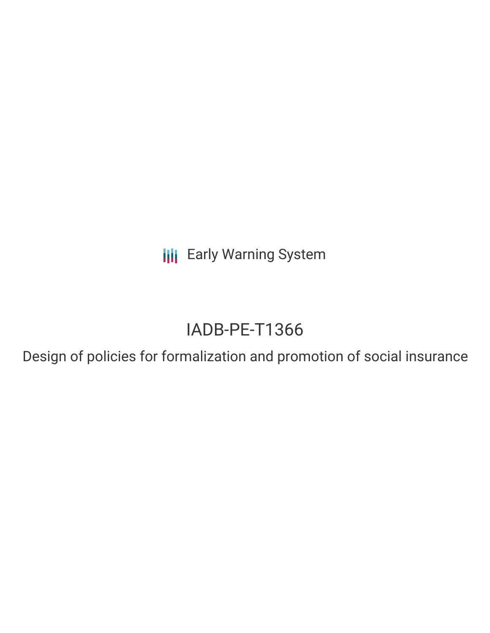**III** Early Warning System

# IADB-PE-T1366

Design of policies for formalization and promotion of social insurance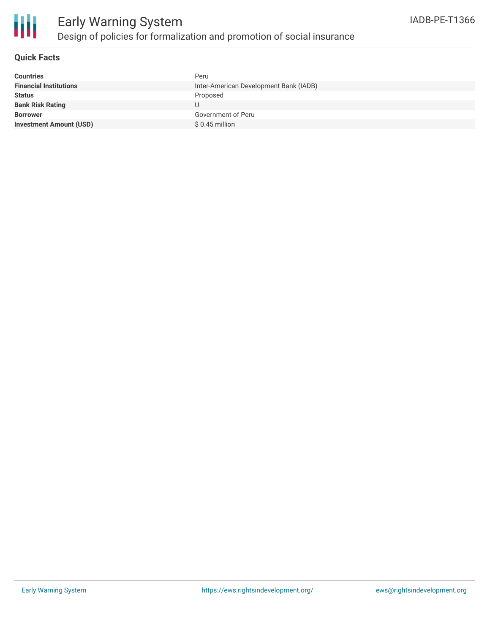

### **Quick Facts**

| <b>Countries</b>               | Peru                                   |
|--------------------------------|----------------------------------------|
| <b>Financial Institutions</b>  | Inter-American Development Bank (IADB) |
| <b>Status</b>                  | Proposed                               |
| <b>Bank Risk Rating</b>        |                                        |
| <b>Borrower</b>                | Government of Peru                     |
| <b>Investment Amount (USD)</b> | $$0.45$ million                        |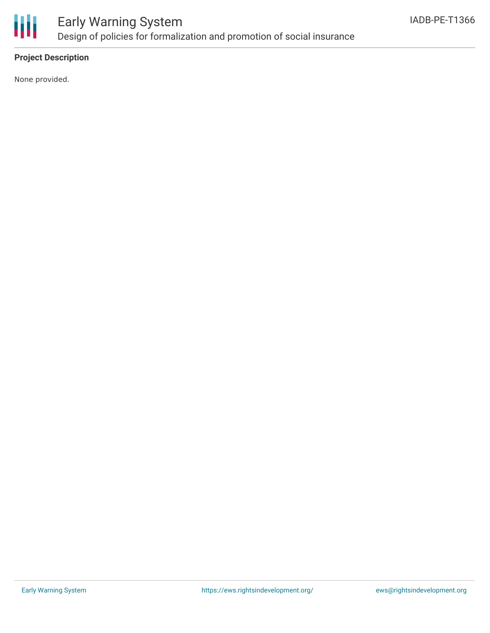

### **Project Description**

None provided.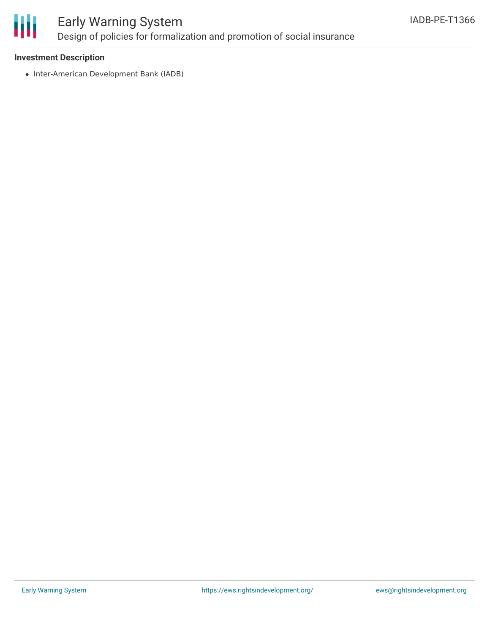

## Early Warning System Design of policies for formalization and promotion of social insurance

#### **Investment Description**

• Inter-American Development Bank (IADB)